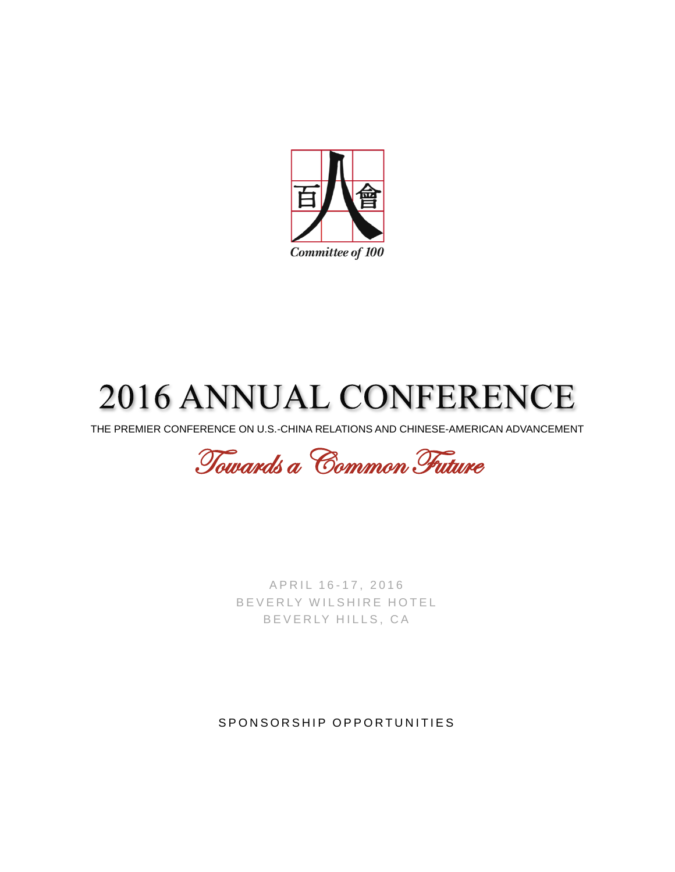

# **2016 ANNUAL CONFERENCE**

THE PREMIER CONFERENCE ON U.S.-CHINA RELATIONS AND CHINESE-AMERICAN ADVANCEMENT

Towards a Common Future

A P R I L 16 - 17, 2016 B E V E R L Y W I L S H I R E H O T E L B E V E R L Y HILLS, CA

SPONSORSHIP OPPORTUNITIES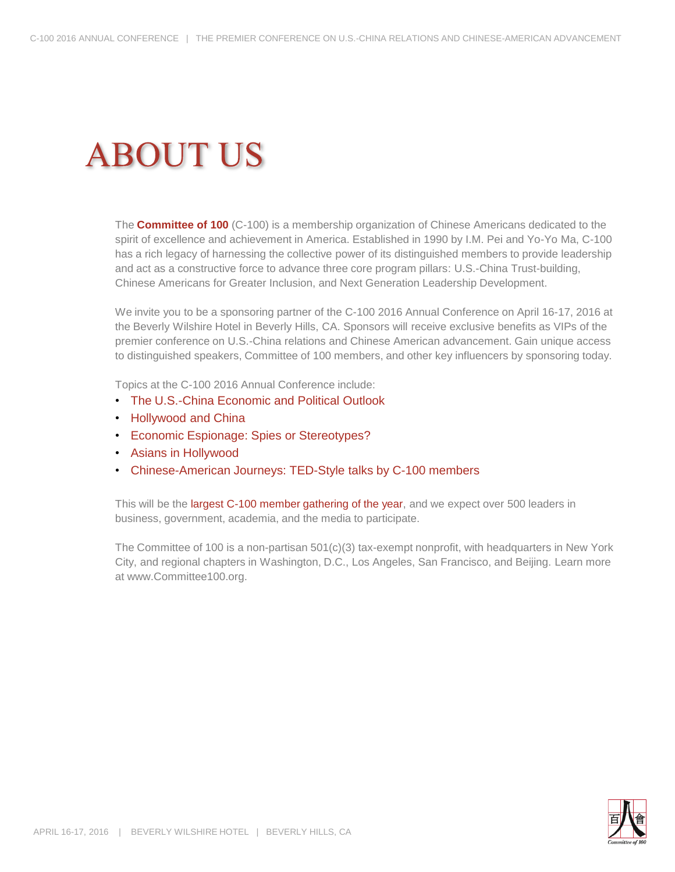## **ABOUT US**

The **Committee of 100** (C-100) is a membership organization of Chinese Americans dedicated to the spirit of excellence and achievement in America. Established in 1990 by I.M. Pei and Yo-Yo Ma, C-100 has a rich legacy of harnessing the collective power of its distinguished members to provide leadership and act as a constructive force to advance three core program pillars: U.S.-China Trust-building, Chinese Americans for Greater Inclusion, and Next Generation Leadership Development.

We invite you to be a sponsoring partner of the C-100 2016 Annual Conference on April 16-17, 2016 at the Beverly Wilshire Hotel in Beverly Hills, CA. Sponsors will receive exclusive benefits as VIPs of the premier conference on U.S.-China relations and Chinese American advancement. Gain unique access to distinguished speakers, Committee of 100 members, and other key influencers by sponsoring today.

Topics at the C-100 2016 Annual Conference include:

- The U.S.-China Economic and Political Outlook
- Hollywood and China
- Economic Espionage: Spies or Stereotypes?
- Asians in Hollywood
- Chinese-American Journeys: TED-Style talks by C-100 members

This will be the largest C-100 member gathering of the year, and we expect over 500 leaders in business, government, academia, and the media to participate.

The Committee of 100 is a non-partisan 501(c)(3) tax-exempt nonprofit, with headquarters in New York City, and regional chapters in Washington, D.C., Los Angeles, San Francisco, and Beijing. Learn more at www.Committee100.org.

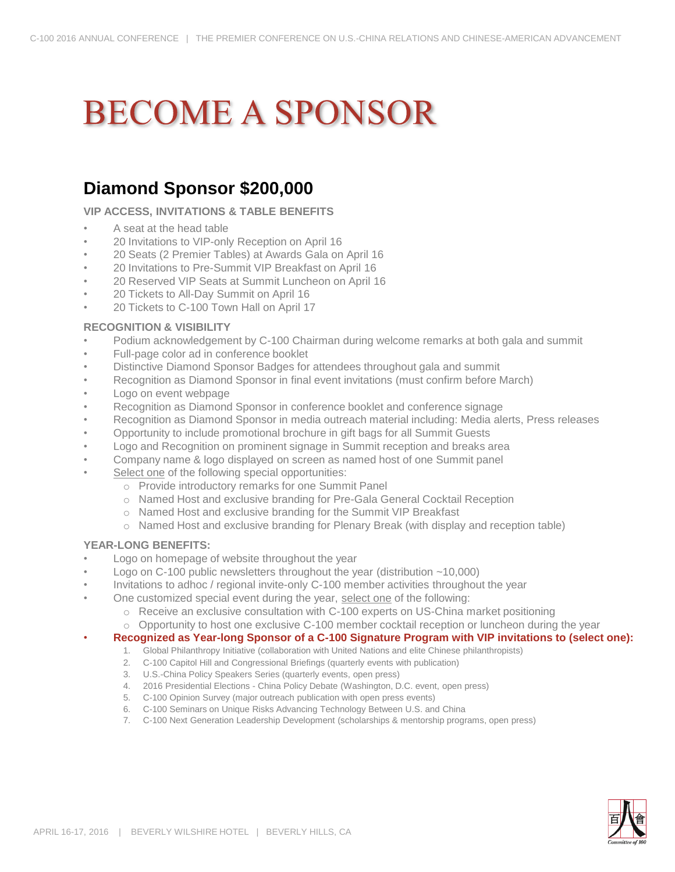# **BECOME A SPONSOR**

### **Diamond Sponsor \$200,000**

**VIP ACCESS, INVITATIONS & TABLE BENEFITS**

- A seat at the head table
- 20 Invitations to VIP-only Reception on April 16
- 20 Seats (2 Premier Tables) at Awards Gala on April 16
- 20 Invitations to Pre-Summit VIP Breakfast on April 16
- 20 Reserved VIP Seats at Summit Luncheon on April 16
- 20 Tickets to All-Day Summit on April 16
- 20 Tickets to C-100 Town Hall on April 17

#### **RECOGNITION & VISIBILITY**

- Podium acknowledgement by C-100 Chairman during welcome remarks at both gala and summit
- Full-page color ad in conference booklet
- Distinctive Diamond Sponsor Badges for attendees throughout gala and summit
- Recognition as Diamond Sponsor in final event invitations (must confirm before March)
- Logo on event webpage
- Recognition as Diamond Sponsor in conference booklet and conference signage
- Recognition as Diamond Sponsor in media outreach material including: Media alerts, Press releases
- Opportunity to include promotional brochure in gift bags for all Summit Guests
- Logo and Recognition on prominent signage in Summit reception and breaks area
- Company name & logo displayed on screen as named host of one Summit panel
- Select one of the following special opportunities:
	- o Provide introductory remarks for one Summit Panel
	- o Named Host and exclusive branding for Pre-Gala General Cocktail Reception
	- o Named Host and exclusive branding for the Summit VIP Breakfast
	- o Named Host and exclusive branding for Plenary Break (with display and reception table)

#### **YEAR-LONG BENEFITS:**

- Logo on homepage of website throughout the year
- Logo on C-100 public newsletters throughout the year (distribution ~10,000)
- Invitations to adhoc / regional invite-only C-100 member activities throughout the year
	- One customized special event during the year, select one of the following:
		- o Receive an exclusive consultation with C-100 experts on US-China market positioning
			- o Opportunity to host one exclusive C-100 member cocktail reception or luncheon during the year
- **Recognized as Year-long Sponsor of a C-100 Signature Program with VIP invitations to (select one):**
	- 1. Global Philanthropy Initiative (collaboration with United Nations and elite Chinese philanthropists)
		- 2. C-100 Capitol Hill and Congressional Briefings (quarterly events with publication)
		- 3. U.S.-China Policy Speakers Series (quarterly events, open press)
		- 4. 2016 Presidential Elections China Policy Debate (Washington, D.C. event, open press)
		- 5. C-100 Opinion Survey (major outreach publication with open press events)
		- 6. C-100 Seminars on Unique Risks Advancing Technology Between U.S. and China
		- 7. C-100 Next Generation Leadership Development (scholarships & mentorship programs, open press)

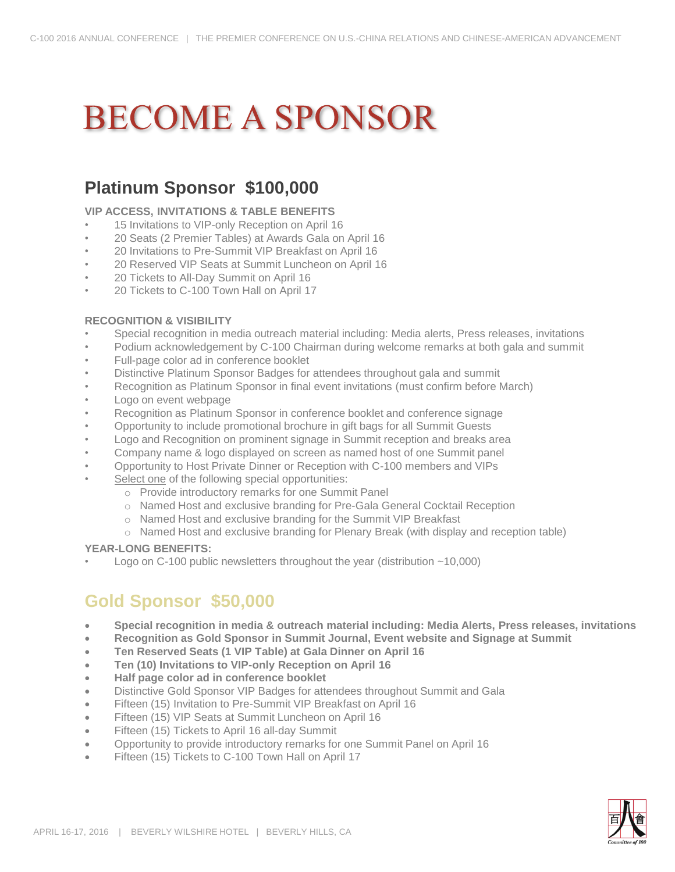## **BECOME A SPONSOR**

### **Platinum Sponsor \$100,000**

#### **VIP ACCESS, INVITATIONS & TABLE BENEFITS**

- 15 Invitations to VIP-only Reception on April 16
- 20 Seats (2 Premier Tables) at Awards Gala on April 16
- 20 Invitations to Pre-Summit VIP Breakfast on April 16
- 20 Reserved VIP Seats at Summit Luncheon on April 16
- 20 Tickets to All-Day Summit on April 16
- 20 Tickets to C-100 Town Hall on April 17

#### **RECOGNITION & VISIBILITY**

- Special recognition in media outreach material including: Media alerts, Press releases, invitations
- Podium acknowledgement by C-100 Chairman during welcome remarks at both gala and summit
- Full-page color ad in conference booklet
- Distinctive Platinum Sponsor Badges for attendees throughout gala and summit
- Recognition as Platinum Sponsor in final event invitations (must confirm before March)
- Logo on event webpage
- Recognition as Platinum Sponsor in conference booklet and conference signage
- Opportunity to include promotional brochure in gift bags for all Summit Guests
- Logo and Recognition on prominent signage in Summit reception and breaks area
- Company name & logo displayed on screen as named host of one Summit panel
- Opportunity to Host Private Dinner or Reception with C-100 members and VIPs
- Select one of the following special opportunities:
	- o Provide introductory remarks for one Summit Panel
	- o Named Host and exclusive branding for Pre-Gala General Cocktail Reception
	- o Named Host and exclusive branding for the Summit VIP Breakfast
	- o Named Host and exclusive branding for Plenary Break (with display and reception table)

#### **YEAR-LONG BENEFITS:**

• Logo on C-100 public newsletters throughout the year (distribution ~10,000)

### **Gold Sponsor \$50,000**

- **Special recognition in media & outreach material including: Media Alerts, Press releases, invitations**
- **Recognition as Gold Sponsor in Summit Journal, Event website and Signage at Summit**
- **Ten Reserved Seats (1 VIP Table) at Gala Dinner on April 16**
- **Ten (10) Invitations to VIP-only Reception on April 16**
- **Half page color ad in conference booklet**
- Distinctive Gold Sponsor VIP Badges for attendees throughout Summit and Gala
- **Fifteen (15) Invitation to Pre-Summit VIP Breakfast on April 16**
- **Fifteen (15) VIP Seats at Summit Luncheon on April 16**
- Fifteen (15) Tickets to April 16 all-day Summit
- Opportunity to provide introductory remarks for one Summit Panel on April 16
- Fifteen (15) Tickets to C-100 Town Hall on April 17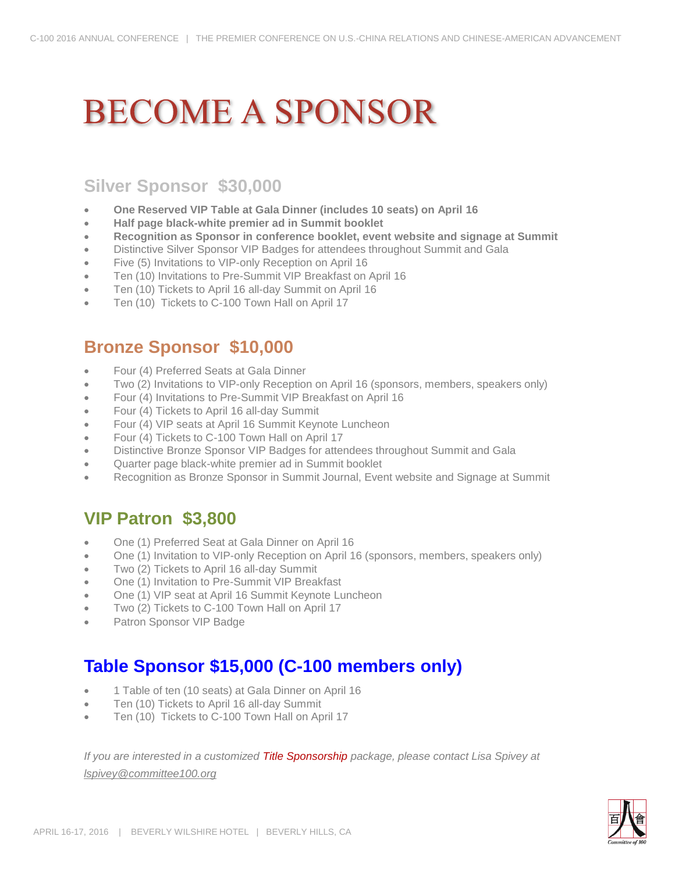## **BECOME A SPONSOR**

### **Silver Sponsor \$30,000**

- **One Reserved VIP Table at Gala Dinner (includes 10 seats) on April 16**
- **Half page black-white premier ad in Summit booklet**
- **Recognition as Sponsor in conference booklet, event website and signage at Summit**
- Distinctive Silver Sponsor VIP Badges for attendees throughout Summit and Gala
- Five (5) Invitations to VIP-only Reception on April 16
- Ten (10) Invitations to Pre-Summit VIP Breakfast on April 16
- Ten (10) Tickets to April 16 all-day Summit on April 16
- Ten (10) Tickets to C-100 Town Hall on April 17

### **Bronze Sponsor \$10,000**

- Four (4) Preferred Seats at Gala Dinner
- Two (2) Invitations to VIP-only Reception on April 16 (sponsors, members, speakers only)
- Four (4) Invitations to Pre-Summit VIP Breakfast on April 16
- Four (4) Tickets to April 16 all-day Summit
- Four (4) VIP seats at April 16 Summit Keynote Luncheon
- Four (4) Tickets to C-100 Town Hall on April 17
- Distinctive Bronze Sponsor VIP Badges for attendees throughout Summit and Gala
- Quarter page black-white premier ad in Summit booklet
- Recognition as Bronze Sponsor in Summit Journal, Event website and Signage at Summit

### **VIP Patron \$3,800**

- One (1) Preferred Seat at Gala Dinner on April 16
- One (1) Invitation to VIP-only Reception on April 16 (sponsors, members, speakers only)
- Two (2) Tickets to April 16 all-day Summit
- One (1) Invitation to Pre-Summit VIP Breakfast
- One (1) VIP seat at April 16 Summit Keynote Luncheon
- Two (2) Tickets to C-100 Town Hall on April 17
- Patron Sponsor VIP Badge

### **Table Sponsor \$15,000 (C-100 members only)**

- 1 Table of ten (10 seats) at Gala Dinner on April 16
- Ten (10) Tickets to April 16 all-day Summit
- Ten (10) Tickets to C-100 Town Hall on April 17

*If you are interested in a customized Title Sponsorship package, please contact Lisa Spivey at lspivey@committee100.org*

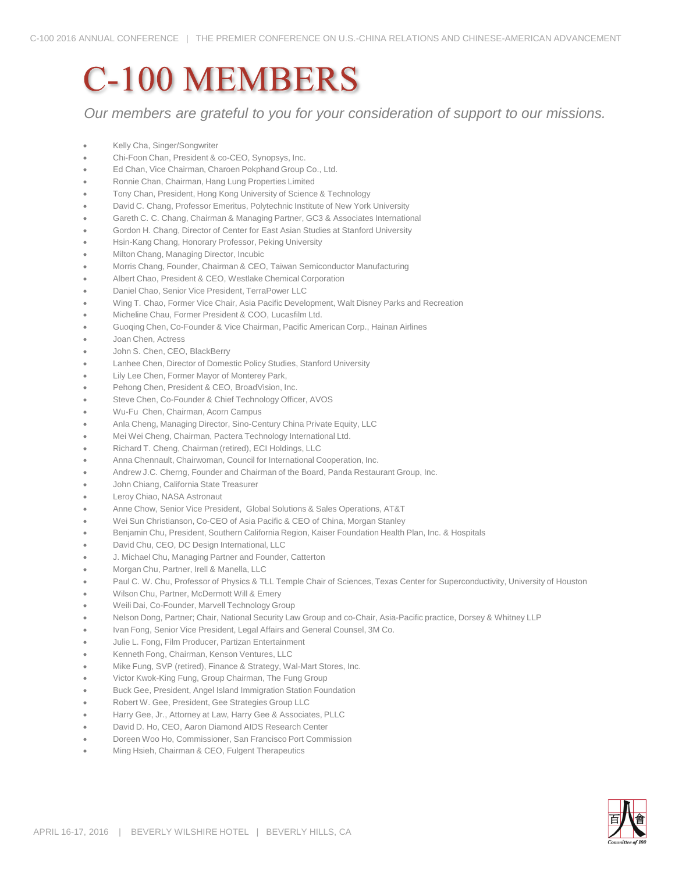## **C-100 MEMBERS**

*Our members are grateful to you for your consideration of support to our missions.*

- Kelly Cha, Singer/Songwriter
- Chi-Foon Chan, President & co-CEO, Synopsys, Inc.
- Ed Chan, Vice Chairman, Charoen Pokphand Group Co., Ltd.
- Ronnie Chan, Chairman, Hang Lung Properties Limited
- Tony Chan, President, Hong Kong University of Science & Technology
- David C. Chang, Professor Emeritus, Polytechnic Institute of New York University
- Gareth C. C. Chang, Chairman & Managing Partner, GC3 & Associates International
- Gordon H. Chang, Director of Center for East Asian Studies at Stanford University
- Hsin-Kang Chang, Honorary Professor, Peking University
- Milton Chang, Managing Director, Incubic
- Morris Chang, Founder, Chairman & CEO, Taiwan Semiconductor Manufacturing
- Albert Chao, President & CEO, Westlake Chemical Corporation
- Daniel Chao, Senior Vice President, TerraPower LLC
- Wing T. Chao, Former Vice Chair, Asia Pacific Development, Walt Disney Parks and Recreation
- Micheline Chau, Former President & COO, Lucasfilm Ltd.
- Guoqing Chen, Co-Founder & Vice Chairman, Pacific American Corp., Hainan Airlines
- Joan Chen, Actress
- John S. Chen, CEO, BlackBerry
- Lanhee Chen, Director of Domestic Policy Studies, Stanford University
- Lily Lee Chen, Former Mayor of Monterey Park,
- Pehong Chen, President & CEO, BroadVision, Inc.
- Steve Chen, Co-Founder & Chief Technology Officer, AVOS
- Wu-Fu Chen, Chairman, Acorn Campus
- Anla Cheng, Managing Director, Sino-Century China Private Equity, LLC
- Mei Wei Cheng, Chairman, Pactera Technology International Ltd.
- Richard T. Cheng, Chairman (retired), ECI Holdings, LLC
- Anna Chennault, Chairwoman, Council for International Cooperation, Inc.
- Andrew J.C. Cherng, Founder and Chairman of the Board, Panda Restaurant Group, Inc.
- John Chiang, California State Treasurer
- Leroy Chiao, NASA Astronaut
- Anne Chow, Senior Vice President, Global Solutions & Sales Operations, AT&T
- Wei Sun Christianson, Co-CEO of Asia Pacific & CEO of China, Morgan Stanley
- Benjamin Chu, President, Southern California Region, Kaiser Foundation Health Plan, Inc. & Hospitals
- David Chu, CEO, DC Design International, LLC
- J. Michael Chu, Managing Partner and Founder, Catterton
- Morgan Chu, Partner, Irell & Manella, LLC
- Paul C. W. Chu, Professor of Physics & TLL Temple Chair of Sciences, Texas Center for Superconductivity, University of Houston
- Wilson Chu, Partner, McDermott Will & Emery
- Weili Dai, Co-Founder, Marvell Technology Group
- Nelson Dong, Partner; Chair, National Security Law Group and co-Chair, Asia-Pacific practice, Dorsey & Whitney LLP
- Ivan Fong, Senior Vice President, Legal Affairs and General Counsel, 3M Co.
- Julie L. Fong, Film Producer, Partizan Entertainment
- Kenneth Fong, Chairman, Kenson Ventures, LLC
- Mike Fung, SVP (retired), Finance & Strategy, Wal-Mart Stores, Inc.
- Victor Kwok-King Fung, Group Chairman, The Fung Group
- Buck Gee, President, Angel Island Immigration Station Foundation
- Robert W. Gee, President, Gee Strategies Group LLC
- Harry Gee, Jr., Attorney at Law, Harry Gee & Associates, PLLC
- David D. Ho, CEO, Aaron Diamond AIDS Research Center
- Doreen Woo Ho, Commissioner, San Francisco Port Commission
- Ming Hsieh, Chairman & CEO, Fulgent Therapeutics

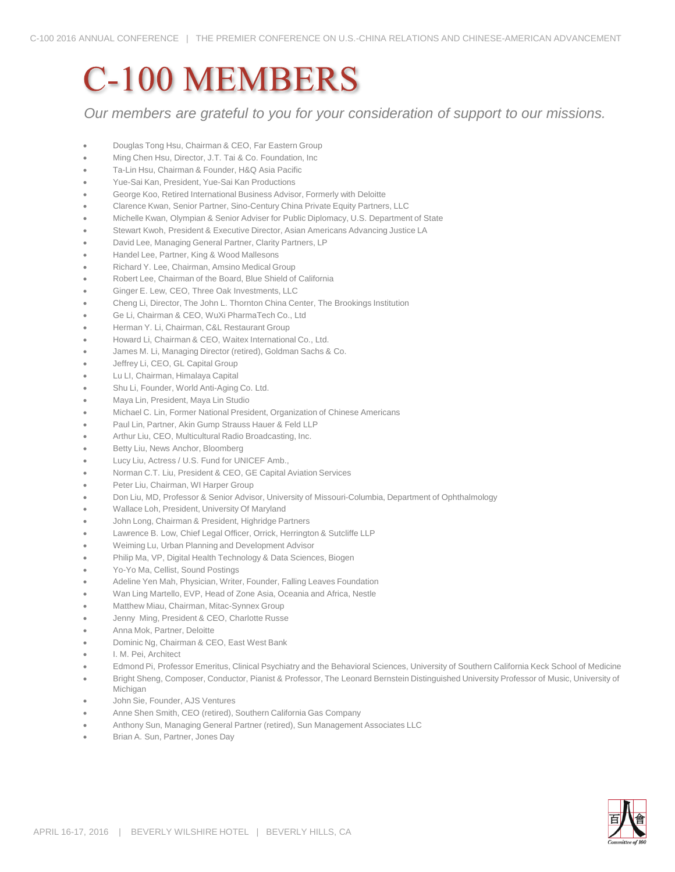## **C-100 MEMBERS**

*Our members are grateful to you for your consideration of support to our missions.*

- **•** Douglas Tong Hsu, Chairman & CEO, Far Eastern Group
- Ming Chen Hsu, Director, J.T. Tai & Co. Foundation, Inc
- Ta-Lin Hsu, Chairman & Founder, H&Q Asia Pacific
- Yue-Sai Kan, President, Yue-Sai Kan Productions
- George Koo, Retired International Business Advisor, Formerly with Deloitte
- Clarence Kwan, Senior Partner, Sino-Century China Private Equity Partners, LLC
- Michelle Kwan, Olympian & Senior Adviser for Public Diplomacy, U.S. Department of State
- Stewart Kwoh, President & Executive Director, Asian Americans Advancing Justice LA
- David Lee, Managing General Partner, Clarity Partners, LP
- Handel Lee, Partner, King & Wood Mallesons
- Richard Y. Lee, Chairman, Amsino Medical Group
- Robert Lee, Chairman of the Board, Blue Shield of California
- Ginger E. Lew, CEO, Three Oak Investments, LLC
- Cheng Li, Director, The John L. Thornton China Center, The Brookings Institution
- Ge Li, Chairman & CEO, WuXi PharmaTech Co., Ltd
- Herman Y. Li, Chairman, C&L Restaurant Group
- Howard Li, Chairman & CEO, Waitex International Co., Ltd.
- James M. Li, Managing Director (retired), Goldman Sachs & Co.
- Jeffrey Li, CEO, GL Capital Group
- Lu LI, Chairman, Himalaya Capital
- Shu Li, Founder, World Anti-Aging Co. Ltd.
- Maya Lin, President, Maya Lin Studio
- Michael C. Lin, Former National President, Organization of Chinese Americans
- Paul Lin, Partner, Akin Gump Strauss Hauer & Feld LLP
- Arthur Liu, CEO, Multicultural Radio Broadcasting, Inc.
- Betty Liu, News Anchor, Bloomberg
- Lucy Liu, Actress / U.S. Fund for UNICEF Amb.,
- Norman C.T. Liu, President & CEO, GE Capital Aviation Services
- Peter Liu, Chairman, WI Harper Group
- Don Liu, MD, Professor & Senior Advisor, University of Missouri-Columbia, Department of Ophthalmology
- Wallace Loh, President, University Of Maryland
- John Long, Chairman & President, Highridge Partners
- Lawrence B. Low, Chief Legal Officer, Orrick, Herrington & Sutcliffe LLP
- Weiming Lu, Urban Planning and Development Advisor
- Philip Ma, VP, Digital Health Technology & Data Sciences, Biogen
- Yo-Yo Ma, Cellist, Sound Postings
- Adeline Yen Mah, Physician, Writer, Founder, Falling Leaves Foundation
- Wan Ling Martello, EVP, Head of Zone Asia, Oceania and Africa, Nestle
- Matthew Miau, Chairman, Mitac-Synnex Group
- Jenny Ming, President & CEO, Charlotte Russe
- Anna Mok, Partner, Deloitte
- Dominic Ng, Chairman & CEO, East West Bank
- I. M. Pei, Architect
- Edmond Pi, Professor Emeritus, Clinical Psychiatry and the Behavioral Sciences, University of Southern California Keck School of Medicine
- Bright Sheng, Composer, Conductor, Pianist & Professor, The Leonard Bernstein Distinguished University Professor of Music, University of Michigan
- John Sie, Founder, AJS Ventures
- Anne Shen Smith, CEO (retired), Southern California Gas Company
- Anthony Sun, Managing General Partner (retired), Sun Management Associates LLC
- Brian A. Sun, Partner, Jones Day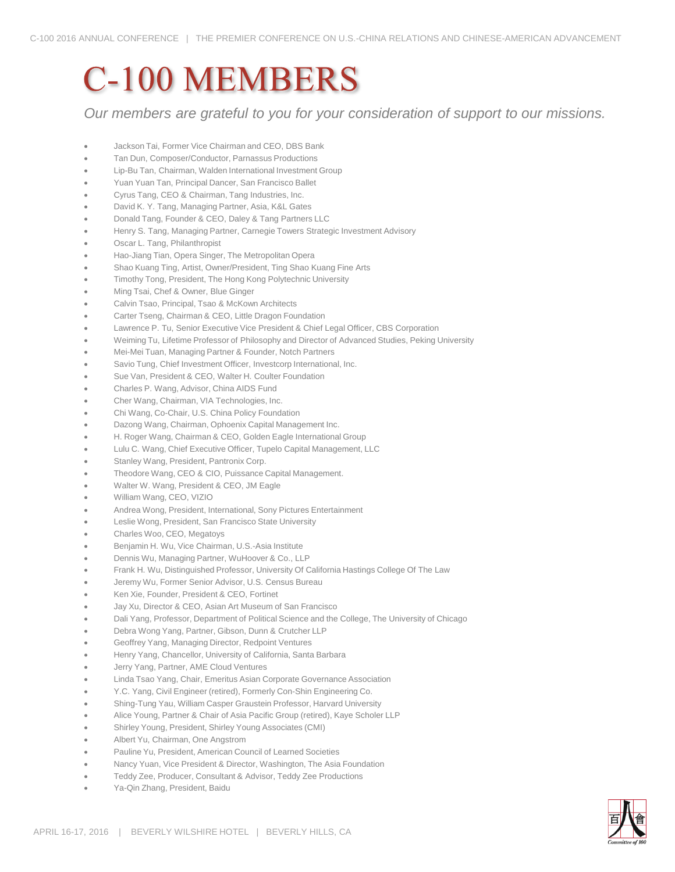## **C-100 MEMBERS**

*Our members are grateful to you for your consideration of support to our missions.*

- Jackson Tai, Former Vice Chairman and CEO, DBS Bank
- Tan Dun, Composer/Conductor, Parnassus Productions
- Lip-Bu Tan, Chairman, Walden International Investment Group
- Yuan Yuan Tan, Principal Dancer, San Francisco Ballet
- Cyrus Tang, CEO & Chairman, Tang Industries, Inc.
- David K. Y. Tang, Managing Partner, Asia, K&L Gates
- Donald Tang, Founder & CEO, Daley & Tang Partners LLC
- Henry S. Tang, Managing Partner, Carnegie Towers Strategic Investment Advisory
- Oscar L. Tang, Philanthropist
- Hao-Jiang Tian, Opera Singer, The Metropolitan Opera
- Shao Kuang Ting, Artist, Owner/President, Ting Shao Kuang Fine Arts
- Timothy Tong, President, The Hong Kong Polytechnic University
- Ming Tsai, Chef & Owner, Blue Ginger
- Calvin Tsao, Principal, Tsao & McKown Architects
- Carter Tseng, Chairman & CEO, Little Dragon Foundation
- Lawrence P. Tu, Senior Executive Vice President & Chief Legal Officer, CBS Corporation
- Weiming Tu, Lifetime Professor of Philosophy and Director of Advanced Studies, Peking University
- Mei-Mei Tuan, Managing Partner & Founder, Notch Partners
- Savio Tung, Chief Investment Officer, Investcorp International, Inc.
- Sue Van, President & CEO, Walter H. Coulter Foundation
- Charles P. Wang, Advisor, China AIDS Fund
- Cher Wang, Chairman, VIA Technologies, Inc.
- Chi Wang, Co-Chair, U.S. China Policy Foundation
- Dazong Wang, Chairman, Ophoenix Capital Management Inc.
- H. Roger Wang, Chairman & CEO, Golden Eagle International Group
- Lulu C. Wang, Chief Executive Officer, Tupelo Capital Management, LLC
- Stanley Wang, President, Pantronix Corp.
- Theodore Wang, CEO & CIO, Puissance Capital Management.
- Walter W. Wang, President & CEO, JM Eagle
- William Wang, CEO, VIZIO
- Andrea Wong, President, International, Sony Pictures Entertainment
- Leslie Wong, President, San Francisco State University
- Charles Woo, CEO, Megatoys
- Benjamin H. Wu, Vice Chairman, U.S.-Asia Institute
- Dennis Wu, Managing Partner, WuHoover & Co., LLP
- Frank H. Wu, Distinguished Professor, University Of California Hastings College Of The Law
- Jeremy Wu, Former Senior Advisor, U.S. Census Bureau
- Ken Xie, Founder, President & CEO, Fortinet
- Jay Xu, Director & CEO, Asian Art Museum of San Francisco
- Dali Yang, Professor, Department of Political Science and the College, The University of Chicago
- Debra Wong Yang, Partner, Gibson, Dunn & Crutcher LLP
- Geoffrey Yang, Managing Director, Redpoint Ventures
- Henry Yang, Chancellor, University of California, Santa Barbara
- Jerry Yang, Partner, AME Cloud Ventures
- Linda Tsao Yang, Chair, Emeritus Asian Corporate Governance Association
- Y.C. Yang, Civil Engineer (retired), Formerly Con-Shin Engineering Co.
- Shing-Tung Yau, William Casper Graustein Professor, Harvard University
- Alice Young, Partner & Chair of Asia Pacific Group (retired), Kaye Scholer LLP
- Shirley Young, President, Shirley Young Associates (CMI)
- Albert Yu, Chairman, One Angstrom
- Pauline Yu, President, American Council of Learned Societies
- Nancy Yuan, Vice President & Director, Washington, The Asia Foundation
- Teddy Zee, Producer, Consultant & Advisor, Teddy Zee Productions
- Ya-Qin Zhang, President, Baidu